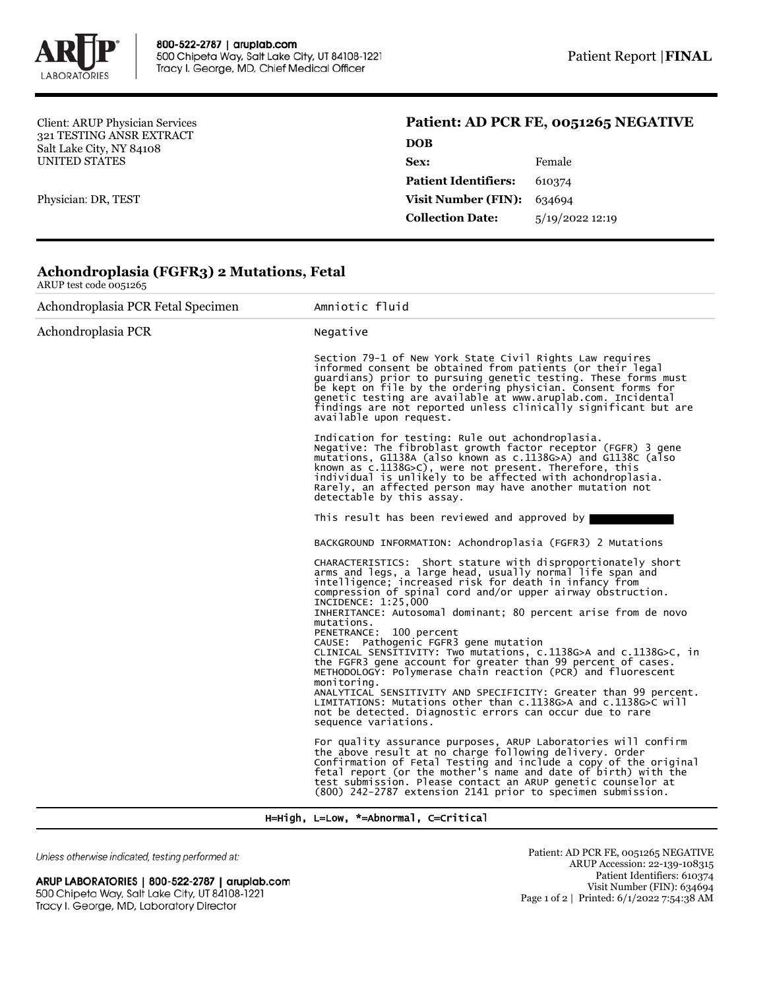

Client: ARUP Physician Services 321 TESTING ANSR EXTRACT Salt Lake City, NY 84108 UNITED STATES

Physician: DR, TEST

## **Patient: AD PCR FE, 0051265 NEGATIVE**

| DOB                         |                |
|-----------------------------|----------------|
| Sex:                        | Female         |
| <b>Patient Identifiers:</b> | 610374         |
| <b>Visit Number (FIN):</b>  | 634694         |
| <b>Collection Date:</b>     | 5/19/202212:19 |
|                             |                |

## **Achondroplasia (FGFR3) 2 Mutations, Fetal** ARUP test code 0051265

| Achondroplasia PCR Fetal Specimen | Amniotic fluid                                                                                                                                                                                                                                                                                                                                                                                                                                                                                                                                                                                                                                                                                                                                                                                                                                                             |
|-----------------------------------|----------------------------------------------------------------------------------------------------------------------------------------------------------------------------------------------------------------------------------------------------------------------------------------------------------------------------------------------------------------------------------------------------------------------------------------------------------------------------------------------------------------------------------------------------------------------------------------------------------------------------------------------------------------------------------------------------------------------------------------------------------------------------------------------------------------------------------------------------------------------------|
| Achondroplasia PCR                | Negative                                                                                                                                                                                                                                                                                                                                                                                                                                                                                                                                                                                                                                                                                                                                                                                                                                                                   |
|                                   | Section 79-1 of New York State Civil Rights Law requires<br>informed consent be obtained from patients (or their legal<br>guardians) prior to pursuing genetic testing. These forms must<br>be kept on file by the ordering physician. Consent forms for<br>genetic testing are available at www.aruplab.com. Incidental<br>findings are not reported unless clinically significant but are<br>available upon request.                                                                                                                                                                                                                                                                                                                                                                                                                                                     |
|                                   | Indication for testing: Rule out achondroplasia.<br>Negative: The fibroblast growth factor receptor (FGFR) 3 gene<br>mutations, G1138A (also known as c.1138G>A) and G1138C (also<br>known as c.1138G>C), were not present. Therefore, this<br>individual is unlikely to be affected with achondroplasia.<br>Rarely, an affected person may have another mutation not<br>detectable by this assay.                                                                                                                                                                                                                                                                                                                                                                                                                                                                         |
|                                   | This result has been reviewed and approved by                                                                                                                                                                                                                                                                                                                                                                                                                                                                                                                                                                                                                                                                                                                                                                                                                              |
|                                   | BACKGROUND INFORMATION: Achondroplasia (FGFR3) 2 Mutations                                                                                                                                                                                                                                                                                                                                                                                                                                                                                                                                                                                                                                                                                                                                                                                                                 |
|                                   | CHARACTERISTICS: Short stature with disproportionately short<br>arms and legs, a large head, usually normal life span and<br>intelligence; increased risk for death in infancy from<br>compression of spinal cord and/or upper airway obstruction.<br>INCIDENCE: 1:25,000<br>INHERITANCE: Autosomal dominant; 80 percent arise from de novo<br>mutations.<br>PENETRANCE: 100 percent<br>CAUSE: Pathogenic FGFR3 gene mutation<br>CLINICAL SENSITIVITY: Two mutations, c.1138G>A and c.1138G>C, in<br>the FGFR3 gene account for greater than 99 percent of cases.<br>METHODOLOGY: Polymerase chain reaction (PCR) and fluorescent<br>monitoring.<br>ANALYTICAL SENSITIVITY AND SPECIFICITY: Greater than 99 percent.<br>LIMITATIONS: Mutations other than c.1138G>A and c.1138G>C will<br>not be detected. Diagnostic errors can occur due to rare<br>sequence variations. |
|                                   | For quality assurance purposes, ARUP Laboratories will confirm<br>the above result at no charge following delivery. Order<br>Confirmation of Fetal Testing and include a copy of the original<br>fetal report (or the mother's name and date of birth) with the<br>test submission. Please contact an ARUP genetic counselor at<br>(800) 242-2787 extension 2141 prior to specimen submission.                                                                                                                                                                                                                                                                                                                                                                                                                                                                             |

H=High, L=Low, \*=Abnormal, C=Critical

Unless otherwise indicated, testing performed at:

ARUP LABORATORIES | 800-522-2787 | aruplab.com 500 Chipeta Way, Salt Lake City, UT 84108-1221 Tracy I. George, MD, Laboratory Director

Patient: AD PCR FE, 0051265 NEGATIVE ARUP Accession: 22-139-108315 Patient Identifiers: 610374 Visit Number (FIN): 634694 Page 1 of 2 | Printed: 6/1/2022 7:54:38 AM